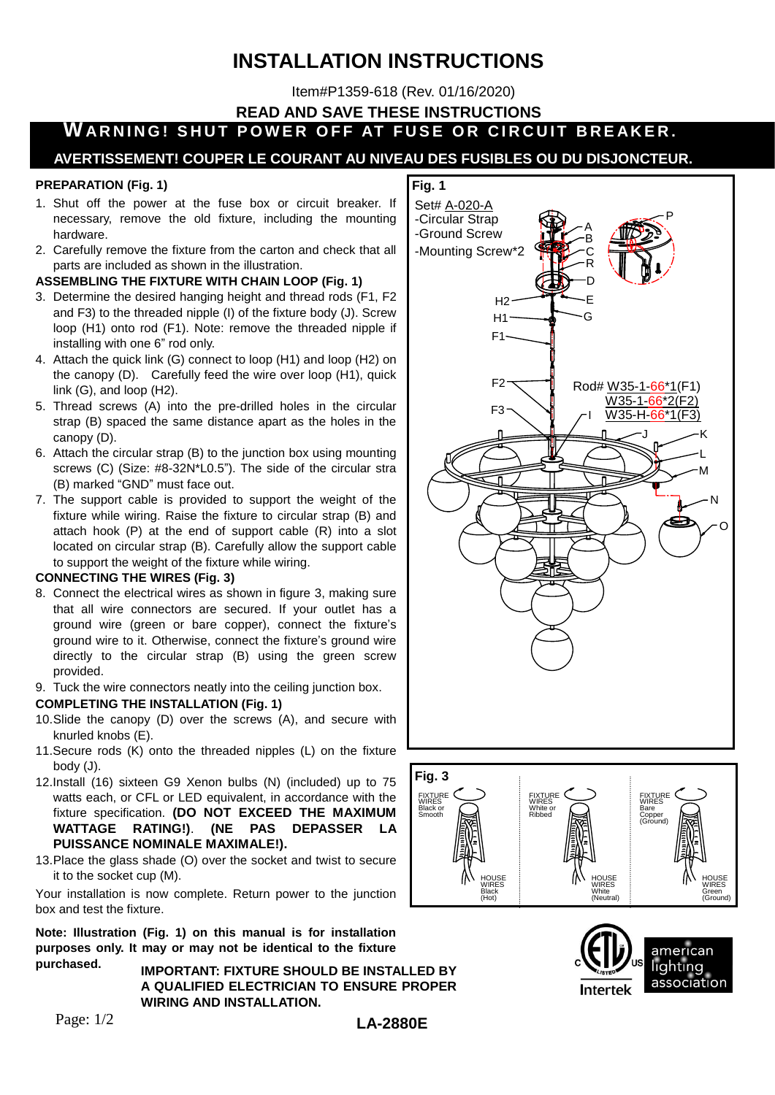# **INSTALLATION INSTRUCTIONS**

Item#P1359-618 (Rev. 01/16/2020)

**Fig. 1**

**READ AND SAVE THESE INSTRUCTIONS**

**WARNING! SHUT POWER OFF AT FUSE OR CIRCUIT BREAKER.** 

## **AVERTISSEMENT! COUPER LE COURANT AU NIVEAU DES FUSIBLES OU DU DISJONCTEUR.**

#### **PREPARATION (Fig. 1)**

- 1. Shut off the power at the fuse box or circuit breaker. If necessary, remove the old fixture, including the mounting hardware.
- 2. Carefully remove the fixture from the carton and check that all parts are included as shown in the illustration.

#### **ASSEMBLING THE FIXTURE WITH CHAIN LOOP (Fig. 1)**

- 3. Determine the desired hanging height and thread rods (F1, F2 and F3) to the threaded nipple (I) of the fixture body (J). Screw loop (H1) onto rod (F1). Note: remove the threaded nipple if installing with one 6" rod only.
- 4. Attach the quick link (G) connect to loop (H1) and loop (H2) on the canopy (D). Carefully feed the wire over loop (H1), quick link (G), and loop (H2).
- 5. Thread screws (A) into the pre-drilled holes in the circular strap (B) spaced the same distance apart as the holes in the canopy (D).
- 6. Attach the circular strap (B) to the junction box using mounting screws (C) (Size: #8-32N\*L0.5"). The side of the circular stra (B) marked "GND" must face out.
- 7. The support cable is provided to support the weight of the fixture while wiring. Raise the fixture to circular strap (B) and attach hook (P) at the end of support cable (R) into a slot located on circular strap (B). Carefully allow the support cable to support the weight of the fixture while wiring.

#### **CONNECTING THE WIRES (Fig. 3)**

- 8. Connect the electrical wires as shown in figure 3, making sure that all wire connectors are secured. If your outlet has a ground wire (green or bare copper), connect the fixture's ground wire to it. Otherwise, connect the fixture's ground wire directly to the circular strap (B) using the green screw provided.
- 9. Tuck the wire connectors neatly into the ceiling junction box.

#### **COMPLETING THE INSTALLATION (Fig. 1)**

- 10.Slide the canopy (D) over the screws (A), and secure with knurled knobs (E).
- 11.Secure rods (K) onto the threaded nipples (L) on the fixture body (J).
- 12.Install (16) sixteen G9 Xenon bulbs (N) (included) up to 75 watts each, or CFL or LED equivalent, in accordance with the fixture specification. **(DO NOT EXCEED THE MAXIMUM WATTAGE RATING!)**. **(NE PAS DEPASSER LA PUISSANCE NOMINALE MAXIMALE!).**
- 13.Place the glass shade (O) over the socket and twist to secure it to the socket cup (M).

Your installation is now complete. Return power to the junction box and test the fixture.

**Note: Illustration (Fig. 1) on this manual is for installation purposes only. It may or may not be identical to the fixture purchased.**

**IMPORTANT: FIXTURE SHOULD BE INSTALLED BY A QUALIFIED ELECTRICIAN TO ENSURE PROPER WIRING AND INSTALLATION.**







O

Page: 1/2

## **LA-2880E**